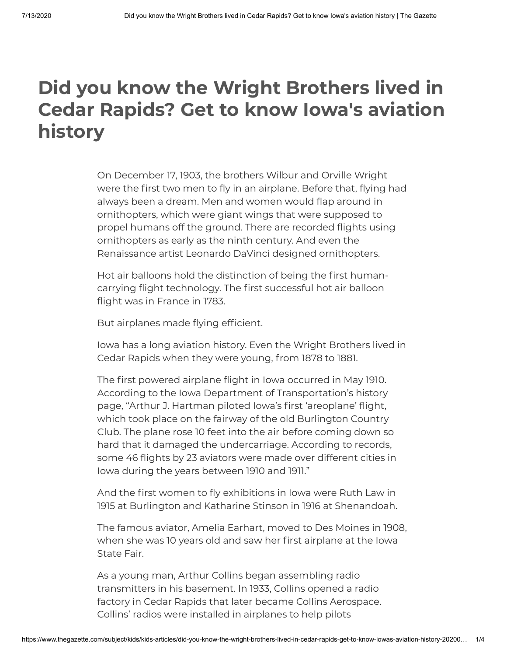# **Did you know the Wright Brothers lived in Cedar Rapids? Get to know Iowa's aviation history**

On December 17, 1903, the brothers Wilbur and Orville Wright were the first two men to fly in an airplane. Before that, flying had always been a dream. Men and women would flap around in ornithopters, which were giant wings that were supposed to propel humans off the ground. There are recorded flights using ornithopters as early as the ninth century. And even the Renaissance artist Leonardo DaVinci designed ornithopters.

Hot air balloons hold the distinction of being the first humancarrying flight technology. The first successful hot air balloon flight was in France in 1783.

But airplanes made flying efficient.

Iowa has a long aviation history. Even the Wright Brothers lived in Cedar Rapids when they were young, from 1878 to 1881.

The first powered airplane flight in Iowa occurred in May 1910. According to the Iowa Department of Transportation's history page, "Arthur J. Hartman piloted Iowa's first 'areoplane' flight, which took place on the fairway of the old Burlington Country Club. The plane rose 10 feet into the air before coming down so hard that it damaged the undercarriage. According to records, some 46 flights by 23 aviators were made over different cities in Iowa during the years between 1910 and 1911."

And the first women to fly exhibitions in Iowa were Ruth Law in 1915 at Burlington and Katharine Stinson in 1916 at Shenandoah.

The famous aviator, Amelia Earhart, moved to Des Moines in 1908, when she was 10 years old and saw her first airplane at the Iowa State Fair.

As a young man, Arthur Collins began assembling radio transmitters in his basement. In 1933, Collins opened a radio factory in Cedar Rapids that later became Collins Aerospace. Collins' radios were installed in airplanes to help pilots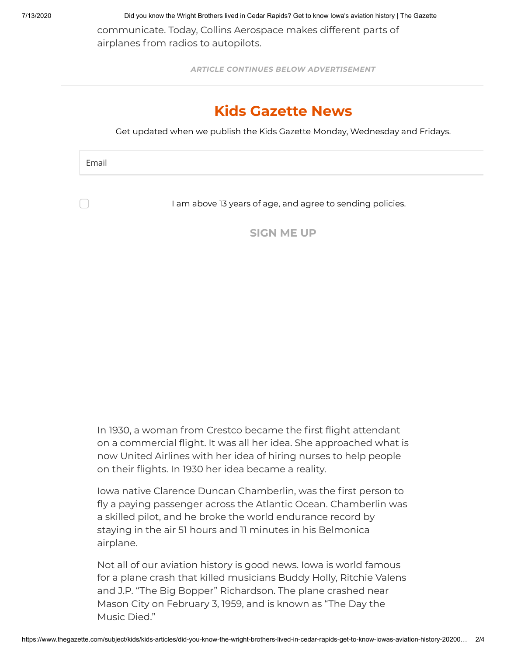7/13/2020 Did you know the Wright Brothers lived in Cedar Rapids? Get to know Iowa's aviation history | The Gazette

communicate. Today, Collins Aerospace makes different parts of airplanes from radios to autopilots.

*ARTICLE CONTINUES BELOW ADVERTISEMENT*

## **Kids Gazette News**

Get updated when we publish the Kids Gazette Monday, Wednesday and Fridays.

Email

I am above 13 years of age, and agree to sending policies.

**SIGN ME UP**

In 1930, a woman from Crestco became the first flight attendant on a commercial flight. It was all her idea. She approached what is now United Airlines with her idea of hiring nurses to help people on their flights. In 1930 her idea became a reality.

Iowa native Clarence Duncan Chamberlin, was the first person to fly a paying passenger across the Atlantic Ocean. Chamberlin was a skilled pilot, and he broke the world endurance record by staying in the air 51 hours and 11 minutes in his Belmonica airplane.

Not all of our aviation history is good news. Iowa is world famous for a plane crash that killed musicians Buddy Holly, Ritchie Valens and J.P. "The Big Bopper" Richardson. The plane crashed near Mason City on February 3, 1959, and is known as "The Day the Music Died."